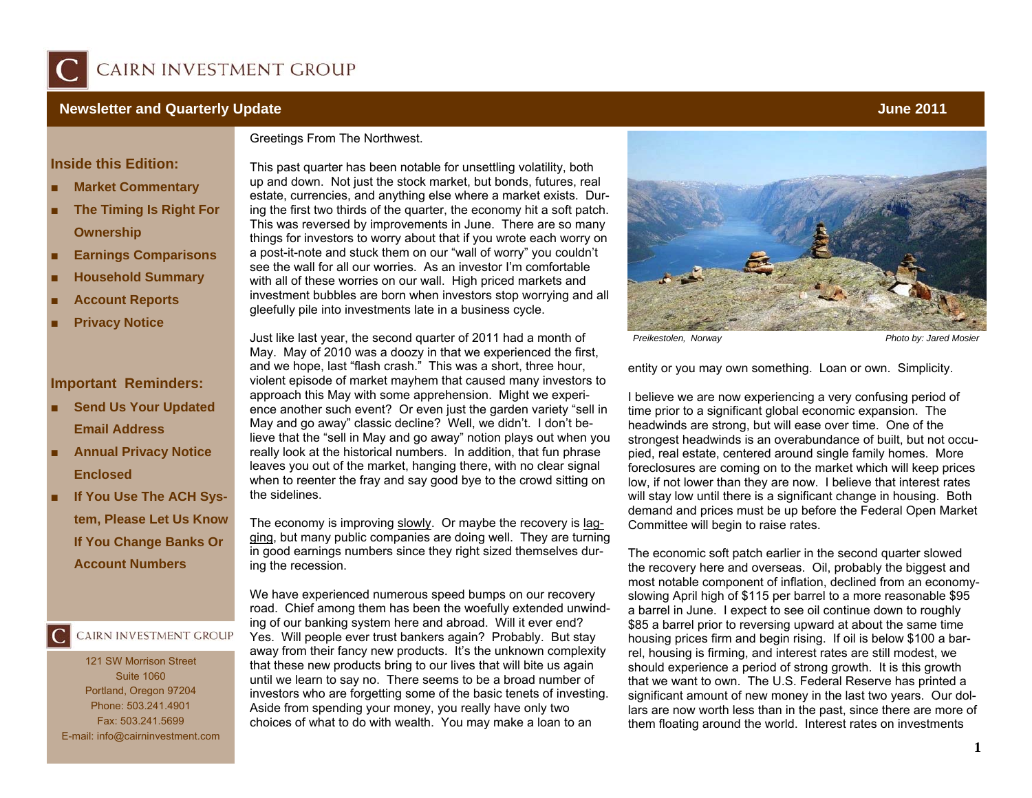

## **Newsletter and Quarterly Update June 2011**

**Inside this Edition:** 

- Market Commentary
- **Ownership The Timing Is Right For**
- Earnings Comparisons
- **Household Summary**
- **E** Account Reports
- **Privacy Notice**

## **Important Reminders:**

- **Send Us Your Updated Email Address**
- **Annual Privacy Notice Enclosed**
- **If You Use The ACH System, Please Let Us Know If You Change Banks Or Account Numbers**

## CAIRN INVESTMENT GROUP

121 SW Morrison Street Suite 1060 Portland, Oregon 97204 Phone: 503.241.4901 Fax: 503.241.5699 E-mail: info@cairninvestment.com

This past quarter has been notable for unsettling volatility, both up and down. Not just the stock market, but bonds, futures, real estate, currencies, and anything else where a market exists. During the first two thirds of the quarter, the economy hit a soft patch. This was reversed by improvements in June. There are so many things for investors to worry about that if you wrote each worry on a post-it-note and stuck them on our "wall of worry" you couldn't see the wall for all our worries. As an investor I'm comfortable with all of these worries on our wall. High priced markets and investment bubbles are born when investors stop worrying and all gleefully pile into investments late in a business cycle.

Greetings From The Northwest.

Just like last year, the second quarter of 2011 had a month of May. May of 2010 was a doozy in that we experienced the first, and we hope, last "flash crash." This was a short, three hour, violent episode of market mayhem that caused many investors to approach this May with some apprehension. Might we experience another such event? Or even just the garden variety "sell in May and go away" classic decline? Well, we didn't. I don't believe that the "sell in May and go away" notion plays out when you really look at the historical numbers. In addition, that fun phrase leaves you out of the market, hanging there, with no clear signal when to reenter the fray and say good bye to the crowd sitting on the sidelines.

The economy is improving slowly. Or maybe the recovery is lagging, but many public companies are doing well. They are turning in good earnings numbers since they right sized themselves during the recession.

We have experienced numerous speed bumps on our recovery road. Chief among them has been the woefully extended unwinding of our banking system here and abroad. Will it ever end? Yes. Will people ever trust bankers again? Probably. But stay away from their fancy new products. It's the unknown complexity that these new products bring to our lives that will bite us again until we learn to say no. There seems to be a broad number of investors who are forgetting some of the basic tenets of investing. Aside from spending your money, you really have only two choices of what to do with wealth. You may make a loan to an



Preikestolen, Norway **Photo by: Jared Mosier** *Photo by: Jared Mosier* 

entity or you may own something. Loan or own. Simplicity.

I believe we are now experiencing a very confusing period of time prior to a significant global economic expansion. The headwinds are strong, but will ease over time. One of the strongest headwinds is an overabundance of built, but not occupied, real estate, centered around single family homes. More foreclosures are coming on to the market which will keep prices low, if not lower than they are now. I believe that interest rates will stay low until there is a significant change in housing. Both demand and prices must be up before the Federal Open Market Committee will begin to raise rates.

The economic soft patch earlier in the second quarter slowed the recovery here and overseas. Oil, probably the biggest and most notable component of inflation, declined from an economyslowing April high of \$115 per barrel to a more reasonable \$95 a barrel in June. I expect to see oil continue down to roughly \$85 a barrel prior to reversing upward at about the same time housing prices firm and begin rising. If oil is below \$100 a barrel, housing is firming, and interest rates are still modest, we should experience a period of strong growth. It is this growth that we want to own. The U.S. Federal Reserve has printed a significant amount of new money in the last two years. Our dollars are now worth less than in the past, since there are more of them floating around the world. Interest rates on investments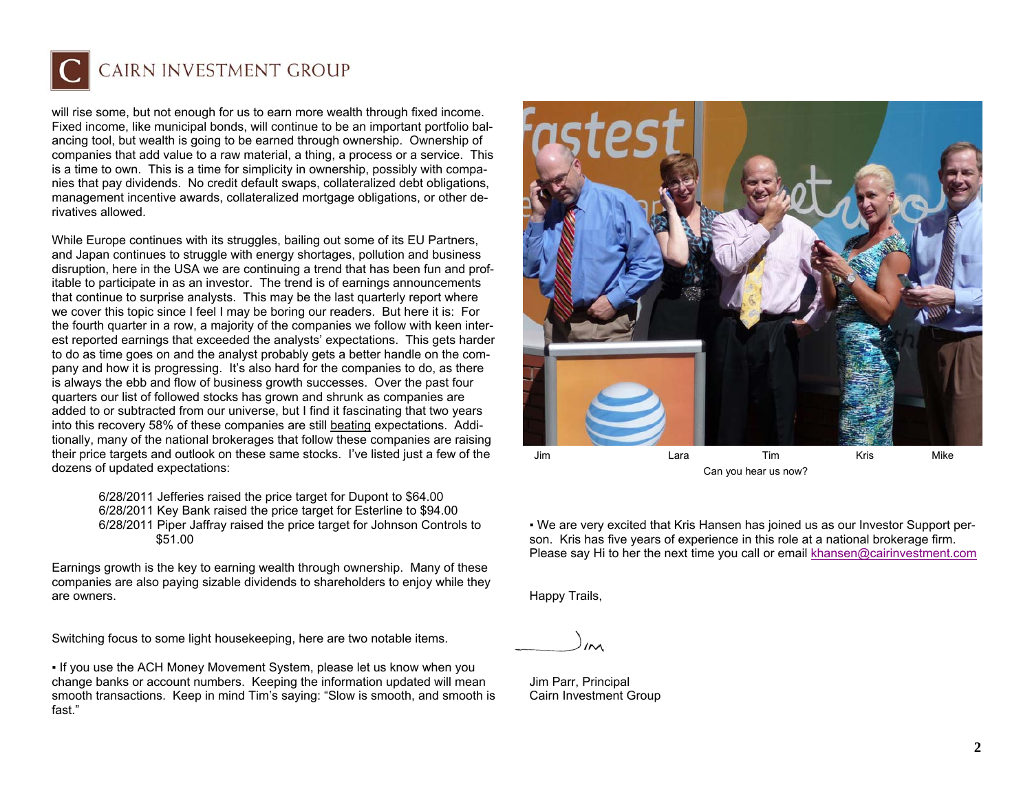

# CAIRN INVESTMENT GROUP

will rise some, but not enough for us to earn more wealth through fixed income. Fixed income, like municipal bonds, will continue to be an important portfolio balancing tool, but wealth is going to be earned through ownership. Ownership of companies that add value to a raw material, a thing, a process or a service. This is a time to own. This is a time for simplicity in ownership, possibly with companies that pay dividends. No credit default swaps, collateralized debt obligations, management incentive awards, collateralized mortgage obligations, or other derivatives allowed.

While Europe continues with its struggles, bailing out some of its EU Partners, and Japan continues to struggle with energy shortages, pollution and business disruption, here in the USA we are continuing a trend that has been fun and profitable to participate in as an investor. The trend is of earnings announcements that continue to surprise analysts. This may be the last quarterly report where we cover this topic since I feel I may be boring our readers. But here it is: For the fourth quarter in a row, a majority of the companies we follow with keen interest reported earnings that exceeded the analysts' expectations. This gets harder to do as time goes on and the analyst probably gets a better handle on the company and how it is progressing. It's also hard for the companies to do, as there is always the ebb and flow of business growth successes. Over the past four quarters our list of followed stocks has grown and shrunk as companies are added to or subtracted from our universe, but I find it fascinating that two years into this recovery 58% of these companies are still beating expectations. Additionally, many of the national brokerages that follow these companies are raising their price targets and outlook on these same stocks. I've listed just a few of the dozens of updated expectations:

> 6/28/2011 Jefferies raised the price target for Dupont to \$64.00 6/28/2011 Key Bank raised the price target for Esterline to \$94.00 6/28/2011 Piper Jaffray raised the price target for Johnson Controls to \$51.00

Earnings growth is the key to earning wealth through ownership. Many of these companies are also paying sizable dividends to shareholders to enjoy while they are owners.

Switching focus to some light housekeeping, here are two notable items.

▪ If you use the ACH Money Movement System, please let us know when you change banks or account numbers. Keeping the information updated will mean smooth transactions. Keep in mind Tim's saying: "Slow is smooth, and smooth is fast."



Can you hear us now?

▪ We are very excited that Kris Hansen has joined us as our Investor Support person. Kris has five years of experience in this role at a national brokerage firm. Please say Hi to her the next time you call or email khansen@cairinvestment.com

Happy Trails,

Jim Parr, Principal Cairn Investment Group